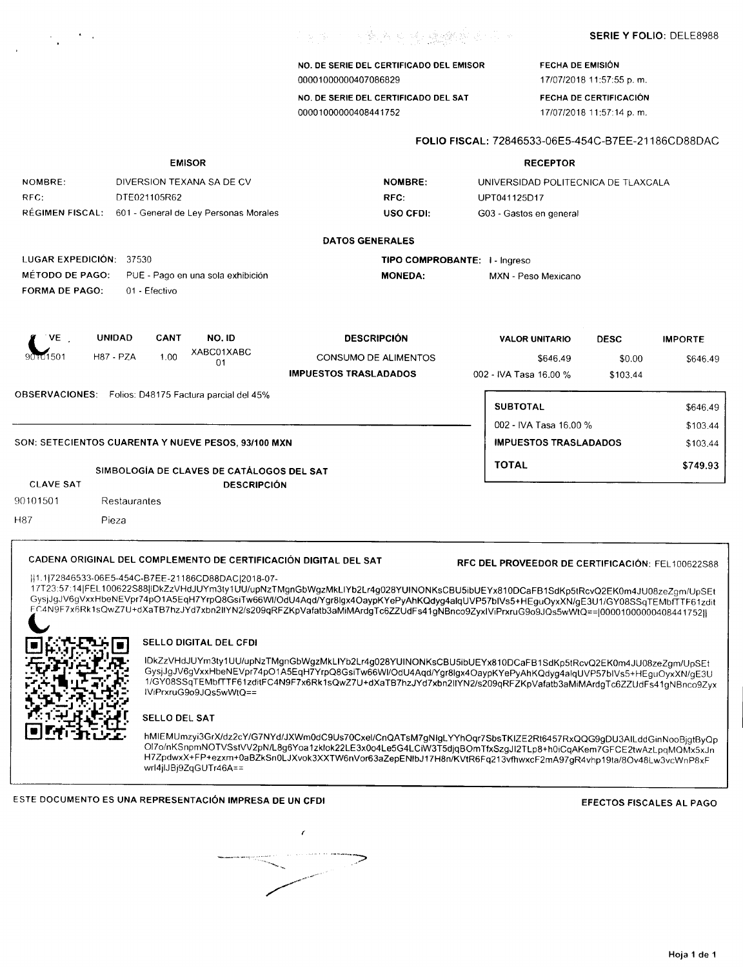|  |  | <b>SERIE Y FOLIO: DELE8988</b> |  |  |
|--|--|--------------------------------|--|--|
|--|--|--------------------------------|--|--|

NO. DE SERIE DEL CERTIFICADO DEL EMISOR 00001000000407086829

**不能的 网络希望 化硫酸钠医不平** 

NO. DE SERIE DEL CERTIFICADO DEL SAT 00001000000408441752

FECHA DE EMISiÓN *17/07/201811:57:55* p. m. FECHA DE CERTIFICACiÓN

*17/07/201811:57:14* p. m.

FOLIO FISCAL: 72846533-06E5-454C-B7EE-21186CD88DAC

#### EMISOR NOMBRE: DIVERSION TEXANA SA DE CV RFC: DTE021105R62 REGIMEN FISCAL: 601 - General de Ley Personas Morales NOMBRE: RFC: USO CFDI: RECEPTOR UNIVERSIDAD POLlTECNICA DE TLAXCALA UPT041125D17 G03 - Gastos en general DATOS GENERALES LUGAR EXPEDICiÓN: 37530 METODO DE PAGO: PUE - Pago en una sola exhibición TIPO COMPROBANTE: I - Ingreso MONEDA: MXN - Peso Mexicano FORMA DE PAGO: 01 - Efectivo , VE 9~501 UNIDAD CANT 1.00 NO.ID XABC01XABC 01 **DESCRIPCIÓN** H87 - PZA 1.00 ^^ DOM CONSUMO DE ALIMENTOS \$646.49 \$0.00 \$646.49 IMPUESTOS TRASLADADOS VALOR UNITARIO DESC \$0.00 \$103.44 IMPORTE 002 - IVA Tasa 16.00 % OBSERVACIONES: Folios: D48175 Factura parcial del 45% CLAVE SAT 90101501 SIMBOLOGíA DE CLAVES DE CATÁLOGOS DEL SAT **DESCRIPCIÓN** 002 - IVA Tasa 16.00 % IMPUESTOS TRASLADADOS SUBTOTAL \$646.49 \$103.44 SON: SETECIENTOS CUARENTA Y NUEVE PESOS, 93/100 MXN \$103.44  $\blacksquare$  MPUESTOS TRASLADADOS \$103.44 TOTAL \$749.93 Restaurantes H87 Pieza CADENA ORIGINAL DEL COMPLEMENTO DE CERTIFICACiÓN DIGITAL DEL SAT RFC DEL PROVEEDOR DE CERTIFICACiÓN: FEL 100622S88 1I1.1172846533-06E5-454C-B7EE-21186CD88DACj2018-07- 17T23 57: 141FEL100622S8811DkZzVHdJUYm3ty1 UU/upNzTMgnGbWgzMkLlYb2Lr4g028YUINONKsCBU5ibUEYx81 ODCaFB1SdKp5tRcv02EKOm4JU08zeZgm/UpSEt GysjJgJV6gVxxHbeNEVpr74pO1A5EqH7YrpQ8GsiTw66WI/OdU4Aqd/Ygr8lgx4OaypKYePyAhKQdyg4alqUVP57blVs5+HEguOyxXN/gE3U1/GY08SSqTEMbfTTF61zdit FC4N9F7x6Rk1sQwZ7U+dXaTB7hzJYd7xbn2llYN2/s209qRFZKpVafatb3aMiMArdgTc6ZZUdFs41gNBnco9ZyxIViPrxruG9o9JQs5wWtQ==|00001000000408441752|| **SELLO DIGITAL DEL CFDI**

 $\frac{1}{2}$ 

*<sup>~</sup> ~):;fI,~\_* ,Mf-·":' L!J, *:¡:;:..\_r:t.:..* 1if IDkZzVHdJUYm3ty 1UU/upNzTMgnGbWgzMkLlYb2Lr4g028YU INON KsCBU5ibU EYx81ODCaFB1SdKp5tRcv02EKOm4J U08zeZgm/UpSE <sup>t</sup> *, '\_'!CI~.~.a-t. -,* '1.,:" GysjJgJV6gVxxHbeN EVpr74pO 1A5Eq H7Yrp08GsiTw66WI/Od U4AqdIY gr81gx40aypKYePy AhKOdyg4alq UVP57bIVs5+ HEguOyxXN/g E3U j:"..rJr'L+,' ~~. '1r-:i¡'i~.r.f't'.:.-'. 1IGY08SSqTEMbfTTF61zditFC4N9F7x6Rk1sOwZ7U+dXaTB7hzJYd7xbn211YN2/s209qRFZKpVafatb3aMiMArdgTc6ZZUdFs41gNBnco9Zyx lViPrxruG9o9JQs5wWtQ==

#### SELLO DEL SAT

**[!] r:tf"-** *!.!.r.,L.* hMIEMUmzyi3GrX/dz2cY/G7NYd/JXWmOdC9Us70Cxel/CnOATsM7gNIgL YYhOqr7SbsTKIZE2Rt6457RxOOG9gDU3AILddGinNooBjgtByOp *017 o/n* KSnpmNOTVSstVV2pN/L8g6Yoa 1zklok22LE3xOo4Le5G4LCiW3T5djq BOmTfxSzgJ 12TLp8+hOiCqAKem7GFCE2tw AzLpq MOMx5xJ n H7ZpdwxX +FP+ezxm+OaBZkSnOLJXvok3XXTW6nVor63aZepE NlbJ 17H8n/KVtR6F q213vfhwxcF2mA97 gR4 vhp 19ta/80v48L w3vcWn P8xF wrI4jIJBj9ZqGUTr46A==

ESTE DOCUMENTO ES UNA REPRESENTACiÓN IMPRESA DE UN CFDI EFECTOS FISCALES AL PAGO

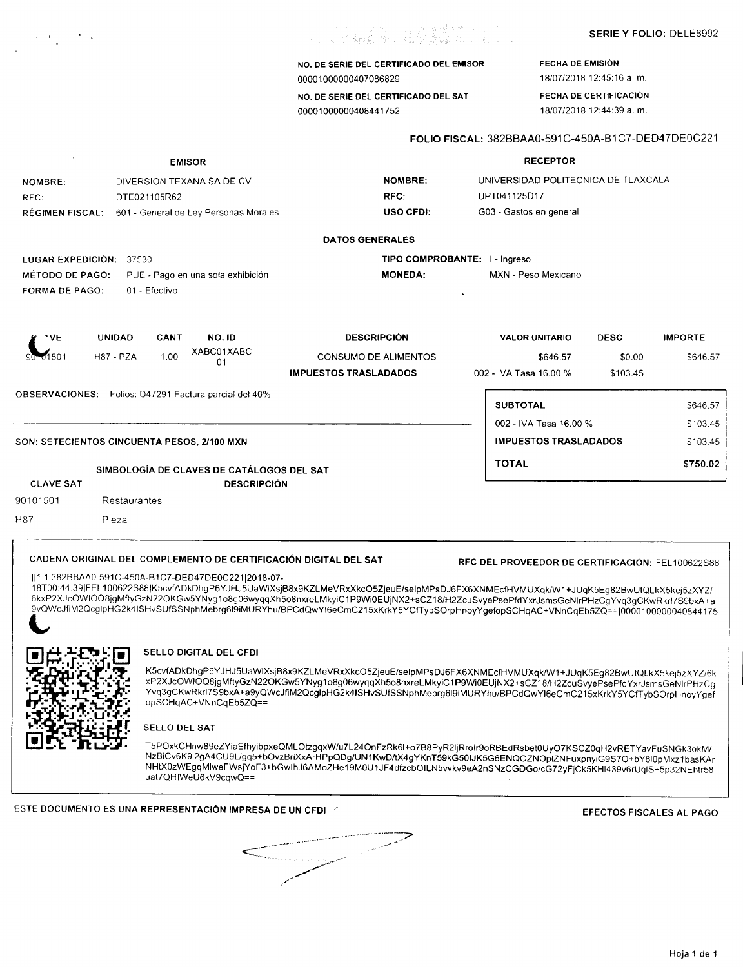NO. DE SERIE DEL CERTIFICADO DEL EMISOR 00001000000407086829

NO. DE SERIE DEL CERTIFICADO DEL SAT 00001000000408441752

FECHA DE EMISiÓN 18/07/201812:45:16 a. m.

FECHA DE CERTIFICACiÓN 18/07/201812:44:39 a. m.

# FOLIO FISCAL: 382BBAA0-591C-450A-B1C7-DED47DE0C221

| <b>EMISOR</b>                               |                          |                                                                  |                                                                                                                                                                                                                                                                          | <b>RECEPTOR</b>                                  |                                     |                |  |  |  |
|---------------------------------------------|--------------------------|------------------------------------------------------------------|--------------------------------------------------------------------------------------------------------------------------------------------------------------------------------------------------------------------------------------------------------------------------|--------------------------------------------------|-------------------------------------|----------------|--|--|--|
| NOMBRE:                                     |                          | DIVERSION TEXANA SA DE CV                                        | <b>NOMBRE:</b>                                                                                                                                                                                                                                                           |                                                  | UNIVERSIDAD POLITECNICA DE TLAXCALA |                |  |  |  |
| RFC:                                        | DTE021105R62             |                                                                  | RFC:                                                                                                                                                                                                                                                                     | UPT041125D17                                     |                                     |                |  |  |  |
| <b>RÉGIMEN FISCAL:</b>                      |                          | 601 - General de Ley Personas Morales                            | <b>USO CFDI:</b>                                                                                                                                                                                                                                                         | G03 - Gastos en general                          |                                     |                |  |  |  |
|                                             |                          |                                                                  | <b>DATOS GENERALES</b>                                                                                                                                                                                                                                                   |                                                  |                                     |                |  |  |  |
| LUGAR EXPEDICIÓN: 37530                     |                          |                                                                  | TIPO COMPROBANTE: I - Ingreso                                                                                                                                                                                                                                            |                                                  |                                     |                |  |  |  |
| <b>MÉTODO DE PAGO:</b>                      |                          | PUE - Pago en una sola exhibición                                | <b>MONEDA:</b>                                                                                                                                                                                                                                                           | MXN - Peso Mexicano                              |                                     |                |  |  |  |
| FORMA DE PAGO:                              | 01 - Efectivo            |                                                                  |                                                                                                                                                                                                                                                                          |                                                  |                                     |                |  |  |  |
| 'VE                                         | <b>UNIDAD</b><br>CANT    | NO.ID                                                            | <b>DESCRIPCIÓN</b>                                                                                                                                                                                                                                                       | <b>VALOR UNITARIO</b>                            | <b>DESC</b>                         | <b>IMPORTE</b> |  |  |  |
| 1 מ1501                                     | <b>H87 - PZA</b><br>1.00 | XABC01XABC                                                       | <b>CONSUMO DE ALIMENTOS</b>                                                                                                                                                                                                                                              | \$646.57                                         | \$0.00                              | \$646.57       |  |  |  |
|                                             |                          | 01                                                               | <b>IMPUESTOS TRASLADADOS</b>                                                                                                                                                                                                                                             | 002 - IVA Tasa 16.00 %                           | \$103.45                            |                |  |  |  |
|                                             |                          | OBSERVACIONES: Folios: D47291 Factura parcial del 40%            |                                                                                                                                                                                                                                                                          |                                                  |                                     |                |  |  |  |
|                                             |                          |                                                                  |                                                                                                                                                                                                                                                                          | <b>SUBTOTAL</b>                                  |                                     | \$646.57       |  |  |  |
|                                             |                          |                                                                  |                                                                                                                                                                                                                                                                          | 002 - IVA Tasa 16.00 %                           |                                     | \$103.45       |  |  |  |
| SON: SETECIENTOS CINCUENTA PESOS, 2/100 MXN |                          |                                                                  |                                                                                                                                                                                                                                                                          |                                                  | <b>IMPUESTOS TRASLADADOS</b>        | \$103.45       |  |  |  |
|                                             |                          |                                                                  |                                                                                                                                                                                                                                                                          | <b>TOTAL</b>                                     |                                     | \$750.02       |  |  |  |
| <b>CLAVE SAT</b>                            |                          | SIMBOLOGÍA DE CLAVES DE CATÁLOGOS DEL SAT<br><b>DESCRIPCIÓN</b>  |                                                                                                                                                                                                                                                                          |                                                  |                                     |                |  |  |  |
| 90101501                                    | Restaurantes             |                                                                  |                                                                                                                                                                                                                                                                          |                                                  |                                     |                |  |  |  |
|                                             |                          |                                                                  |                                                                                                                                                                                                                                                                          |                                                  |                                     |                |  |  |  |
| H87                                         | Pieza                    |                                                                  |                                                                                                                                                                                                                                                                          |                                                  |                                     |                |  |  |  |
|                                             |                          | CADENA ORIGINAL DEL COMPLEMENTO DE CERTIFICACIÓN DIGITAL DEL SAT |                                                                                                                                                                                                                                                                          | RFC DEL PROVEEDOR DE CERTIFICACIÓN: FEL100622S88 |                                     |                |  |  |  |
|                                             |                          | 1.1 382BBAA0-591C-450A-B1C7-DED47DE0C221 2018-07-                |                                                                                                                                                                                                                                                                          |                                                  |                                     |                |  |  |  |
|                                             |                          |                                                                  | 18T00:44:39 FEL100622S88 K5cvfADkDhgP6YJHJ5UaWIXsjB8x9KZLMeVRxXkcO5ZjeuE/selpMPsDJ6FX6XNMEcfHVMUXqk/W1+JUqK5Eg82BwUtQLkX5kej5zXYZ/<br>6kxP2XJcOWIOQ8jgMftyGzN22OKGw5YNyg1o8g06wyqqXh5o8nxreLMkyiC1P9Wi0EUjNX2+sCZ18/H2ZcuSvyePsePfdYxrJsmsGeNlrPHzCgYvq3gCKwRkrl7S9bxA+a |                                                  |                                     |                |  |  |  |
|                                             |                          |                                                                  | 9vQWcJfiM2OcglpHG2k4ISHvSUfSSNphMebrg6l9iMURYhu/BPCdQwYI6eCmC215xKrkY5YCfTybSOrpHnoyYgefopSCHqAC+VNnCqEb5ZQ== 0000100000040844175                                                                                                                                        |                                                  |                                     |                |  |  |  |
|                                             |                          |                                                                  |                                                                                                                                                                                                                                                                          |                                                  |                                     |                |  |  |  |
|                                             |                          | <b>SELLO DIGITAL DEL CFDI</b>                                    |                                                                                                                                                                                                                                                                          |                                                  |                                     |                |  |  |  |
|                                             |                          |                                                                  | K5cvfADkDhgP6YJHJ5UaWIXsjB8x9KZLMeVRxXkcO5ZjeuE/selpMPsDJ6FX6XNMEcfHVMUXqk/W1+JUqK5Eg82BwUtQLkX5kej5zXYZ/6k                                                                                                                                                              |                                                  |                                     |                |  |  |  |
|                                             |                          |                                                                  | xP2XJcOWIOQ8jgMftyGzN22OKGw5YNyg1o8g06wyqqXh5o8nxreLMkyiC1P9Wi0EUjNX2+sCZ18/H2ZcuSvyePsePfdYxrJsmsGeNlrPHzCg                                                                                                                                                             |                                                  |                                     |                |  |  |  |
|                                             |                          | opSCHqAC+VNnCqEb5ZQ==                                            | Yvq3gCKwRkrl7S9bxA+a9yQWcJfiM2QcgIpHG2k4ISHvSUfSSNphMebrg6l9iMURYhu/BPCdQwYl6eCmC215xKrkY5YCfTybSOrpHnoyYgef                                                                                                                                                             |                                                  |                                     |                |  |  |  |

SELLO DEL SAT

 $\label{eq:2} \mathcal{F}^{\mathcal{A}}(\mathcal{A}) = \mathcal{F}^{\mathcal{A}}(\mathcal{A})$ 

T5POxkCHnw89eZYiaEfhyibpxeQMLOtzgqxW/u7L24OnFzRk6l+o7B8PyR2ljRrolr9oRBEdRsbet0UyO7KSCZ0qH2vRETYavFuSN( NzBiCv6K9i2gA4CU9L/gq5+bOvzBriXxArHPpQDg/UN1KwD/tX4gYKnT59kG50IJK5G6ENQOZNOpIZNFuxpnyiG9S7O+bY8l0pMxz1 NHtXOzWEgqMlweFWsjYoF3+bGwl hJ6AMoZHe 19MOU1JF4dtzcbO ILNbvvkvgeA2nSNzCGDGo/cG 72yFjCk5KH1439v6rUq1S+5p32N Ehtr58 uat7QHIWeU6kV9cqwQ==

ESTE DOCUMENTO ES UNA REPRESENTACIÓN IMPRESA DE UN CFDI de establecer en el establecer en el establecer en el e

**\_\_\_\_\_\_\_\_\_\_**